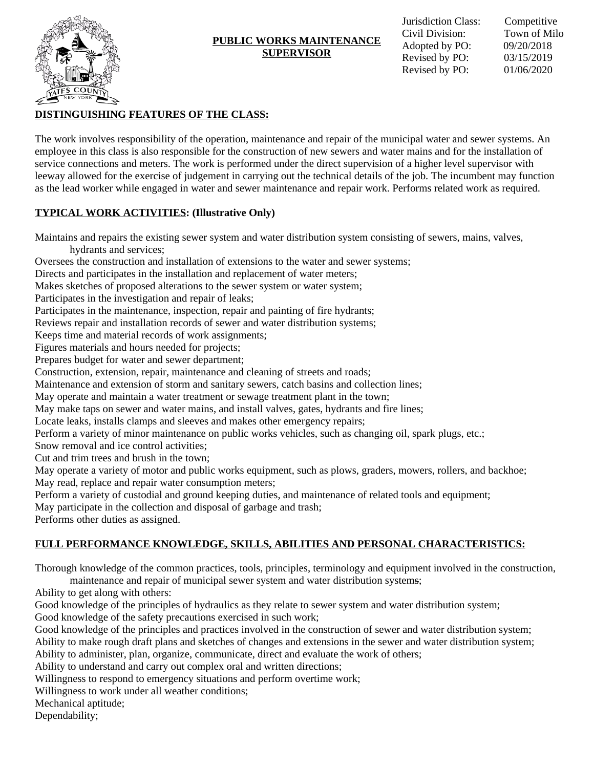

### **PUBLIC WORKS MAINTENANCE SUPERVISOR**

## **DISTINGUISHING FEATURES OF THE CLASS:**

The work involves responsibility of the operation, maintenance and repair of the municipal water and sewer systems. An employee in this class is also responsible for the construction of new sewers and water mains and for the installation of service connections and meters. The work is performed under the direct supervision of a higher level supervisor with leeway allowed for the exercise of judgement in carrying out the technical details of the job. The incumbent may function as the lead worker while engaged in water and sewer maintenance and repair work. Performs related work as required.

## **TYPICAL WORK ACTIVITIES: (Illustrative Only)**

Maintains and repairs the existing sewer system and water distribution system consisting of sewers, mains, valves, hydrants and services;

Oversees the construction and installation of extensions to the water and sewer systems;

Directs and participates in the installation and replacement of water meters;

Makes sketches of proposed alterations to the sewer system or water system;

Participates in the investigation and repair of leaks;

Participates in the maintenance, inspection, repair and painting of fire hydrants;

Reviews repair and installation records of sewer and water distribution systems;

Keeps time and material records of work assignments;

Figures materials and hours needed for projects;

Prepares budget for water and sewer department;

Construction, extension, repair, maintenance and cleaning of streets and roads;

Maintenance and extension of storm and sanitary sewers, catch basins and collection lines;

May operate and maintain a water treatment or sewage treatment plant in the town;

May make taps on sewer and water mains, and install valves, gates, hydrants and fire lines;

Locate leaks, installs clamps and sleeves and makes other emergency repairs;

Perform a variety of minor maintenance on public works vehicles, such as changing oil, spark plugs, etc.;

Snow removal and ice control activities;

Cut and trim trees and brush in the town;

May operate a variety of motor and public works equipment, such as plows, graders, mowers, rollers, and backhoe; May read, replace and repair water consumption meters;

Perform a variety of custodial and ground keeping duties, and maintenance of related tools and equipment;

May participate in the collection and disposal of garbage and trash;

Performs other duties as assigned.

# **FULL PERFORMANCE KNOWLEDGE, SKILLS, ABILITIES AND PERSONAL CHARACTERISTICS:**

Thorough knowledge of the common practices, tools, principles, terminology and equipment involved in the construction, maintenance and repair of municipal sewer system and water distribution systems;

Ability to get along with others:

Good knowledge of the principles of hydraulics as they relate to sewer system and water distribution system;

Good knowledge of the safety precautions exercised in such work;

Good knowledge of the principles and practices involved in the construction of sewer and water distribution system; Ability to make rough draft plans and sketches of changes and extensions in the sewer and water distribution system; Ability to administer, plan, organize, communicate, direct and evaluate the work of others;

Ability to understand and carry out complex oral and written directions;

Willingness to respond to emergency situations and perform overtime work;

Willingness to work under all weather conditions;

Mechanical aptitude;

Dependability;